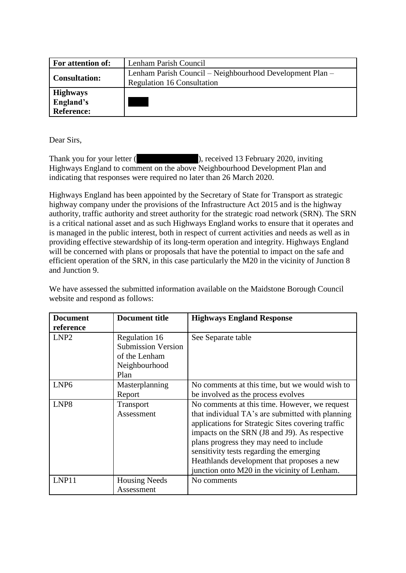| <b>For attention of:</b>                          | Lenham Parish Council                                                                         |  |  |
|---------------------------------------------------|-----------------------------------------------------------------------------------------------|--|--|
| <b>Consultation:</b>                              | Lenham Parish Council – Neighbourhood Development Plan –<br><b>Regulation 16 Consultation</b> |  |  |
| <b>Highways</b><br>England's<br><b>Reference:</b> |                                                                                               |  |  |

Dear Sirs,

Thank you for your letter (comes in the contract Osbourne), received 13 February 2020, inviting Highways England to comment on the above Neighbourhood Development Plan and indicating that responses were required no later than 26 March 2020.

Highways England has been appointed by the Secretary of State for Transport as strategic highway company under the provisions of the Infrastructure Act 2015 and is the highway authority, traffic authority and street authority for the strategic road network (SRN). The SRN is a critical national asset and as such Highways England works to ensure that it operates and is managed in the public interest, both in respect of current activities and needs as well as in providing effective stewardship of its long-term operation and integrity. Highways England will be concerned with plans or proposals that have the potential to impact on the safe and efficient operation of the SRN, in this case particularly the M20 in the vicinity of Junction 8 and Junction 9.

We have assessed the submitted information available on the Maidstone Borough Council website and respond as follows:

| <b>Document</b><br>reference | <b>Document title</b>                                                                | <b>Highways England Response</b>                                                                                                                                                                                                                                                                                                                                                             |
|------------------------------|--------------------------------------------------------------------------------------|----------------------------------------------------------------------------------------------------------------------------------------------------------------------------------------------------------------------------------------------------------------------------------------------------------------------------------------------------------------------------------------------|
| LNP <sub>2</sub>             | Regulation 16<br><b>Submission Version</b><br>of the Lenham<br>Neighbourhood<br>Plan | See Separate table                                                                                                                                                                                                                                                                                                                                                                           |
| LNP <sub>6</sub>             | Masterplanning<br>Report                                                             | No comments at this time, but we would wish to<br>be involved as the process evolves                                                                                                                                                                                                                                                                                                         |
| LNP <sub>8</sub>             | Transport<br>Assessment                                                              | No comments at this time. However, we request<br>that individual TA's are submitted with planning<br>applications for Strategic Sites covering traffic<br>impacts on the SRN (J8 and J9). As respective<br>plans progress they may need to include<br>sensitivity tests regarding the emerging<br>Heathlands development that proposes a new<br>junction onto M20 in the vicinity of Lenham. |
| LNP11                        | <b>Housing Needs</b><br>Assessment                                                   | No comments                                                                                                                                                                                                                                                                                                                                                                                  |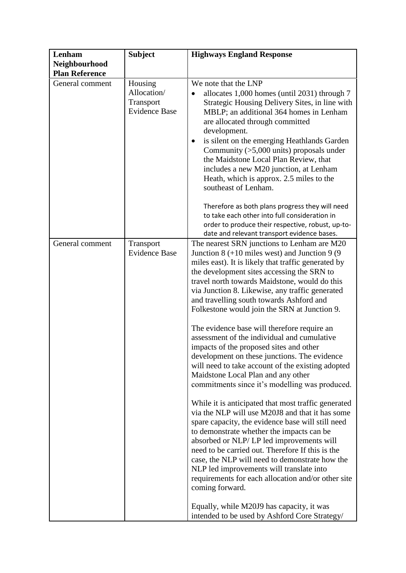| Lenham                                 | <b>Subject</b>                                              | <b>Highways England Response</b>                                                                                                                                                                                                                                                                                                                                                                                                                                                                                                                                                                                                                                                                                                                                                                                                                                                                                                                                                                                                                                                                                                                                                                                                                                                                                                    |
|----------------------------------------|-------------------------------------------------------------|-------------------------------------------------------------------------------------------------------------------------------------------------------------------------------------------------------------------------------------------------------------------------------------------------------------------------------------------------------------------------------------------------------------------------------------------------------------------------------------------------------------------------------------------------------------------------------------------------------------------------------------------------------------------------------------------------------------------------------------------------------------------------------------------------------------------------------------------------------------------------------------------------------------------------------------------------------------------------------------------------------------------------------------------------------------------------------------------------------------------------------------------------------------------------------------------------------------------------------------------------------------------------------------------------------------------------------------|
| Neighbourhood<br><b>Plan Reference</b> |                                                             |                                                                                                                                                                                                                                                                                                                                                                                                                                                                                                                                                                                                                                                                                                                                                                                                                                                                                                                                                                                                                                                                                                                                                                                                                                                                                                                                     |
| General comment                        | Housing<br>Allocation/<br>Transport<br><b>Evidence Base</b> | We note that the LNP<br>allocates 1,000 homes (until 2031) through 7<br>Strategic Housing Delivery Sites, in line with<br>MBLP; an additional 364 homes in Lenham<br>are allocated through committed<br>development.<br>is silent on the emerging Heathlands Garden<br>Community $($ >5,000 units) proposals under<br>the Maidstone Local Plan Review, that<br>includes a new M20 junction, at Lenham<br>Heath, which is approx. 2.5 miles to the<br>southeast of Lenham.                                                                                                                                                                                                                                                                                                                                                                                                                                                                                                                                                                                                                                                                                                                                                                                                                                                           |
|                                        |                                                             | Therefore as both plans progress they will need<br>to take each other into full consideration in<br>order to produce their respective, robust, up-to-<br>date and relevant transport evidence bases.                                                                                                                                                                                                                                                                                                                                                                                                                                                                                                                                                                                                                                                                                                                                                                                                                                                                                                                                                                                                                                                                                                                                |
| General comment                        | Transport<br><b>Evidence Base</b>                           | The nearest SRN junctions to Lenham are M20<br>Junction $8 (+10 \text{ miles west})$ and Junction $9(9$<br>miles east). It is likely that traffic generated by<br>the development sites accessing the SRN to<br>travel north towards Maidstone, would do this<br>via Junction 8. Likewise, any traffic generated<br>and travelling south towards Ashford and<br>Folkestone would join the SRN at Junction 9.<br>The evidence base will therefore require an<br>assessment of the individual and cumulative<br>impacts of the proposed sites and other<br>development on these junctions. The evidence<br>will need to take account of the existing adopted<br>Maidstone Local Plan and any other<br>commitments since it's modelling was produced.<br>While it is anticipated that most traffic generated<br>via the NLP will use M20J8 and that it has some<br>spare capacity, the evidence base will still need<br>to demonstrate whether the impacts can be<br>absorbed or NLP/LP led improvements will<br>need to be carried out. Therefore If this is the<br>case, the NLP will need to demonstrate how the<br>NLP led improvements will translate into<br>requirements for each allocation and/or other site<br>coming forward.<br>Equally, while M20J9 has capacity, it was<br>intended to be used by Ashford Core Strategy/ |